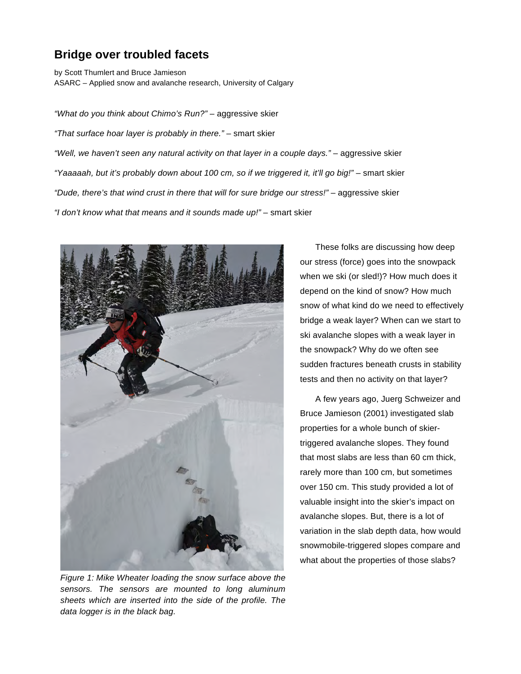## **Bridge over troubled facets**

by Scott Thumlert and Bruce Jamieson ASARC – Applied snow and avalanche research, University of Calgary

*"What do you think about Chimo's Run?"* – aggressive skier *"That surface hoar layer is probably in there."* – smart skier "Well, we haven't seen any natural activity on that layer in a couple days." - aggressive skier *"Yaaaaah, but it's probably down about 100 cm, so if we triggered it, it'll go big!"* – smart skier *"Dude, there's that wind crust in there that will for sure bridge our stress!"* – aggressive skier *"I don't know what that means and it sounds made up!"* – smart skier



*Figure 1: Mike Wheater loading the snow surface above the sensors. The sensors are mounted to long aluminum sheets which are inserted into the side of the profile. The data logger is in the black bag.*

These folks are discussing how deep our stress (force) goes into the snowpack when we ski (or sled!)? How much does it depend on the kind of snow? How much snow of what kind do we need to effectively bridge a weak layer? When can we start to ski avalanche slopes with a weak layer in the snowpack? Why do we often see sudden fractures beneath crusts in stability tests and then no activity on that layer?

A few years ago, Juerg Schweizer and Bruce Jamieson (2001) investigated slab properties for a whole bunch of skiertriggered avalanche slopes. They found that most slabs are less than 60 cm thick, rarely more than 100 cm, but sometimes over 150 cm. This study provided a lot of valuable insight into the skier's impact on avalanche slopes. But, there is a lot of variation in the slab depth data, how would snowmobile-triggered slopes compare and what about the properties of those slabs?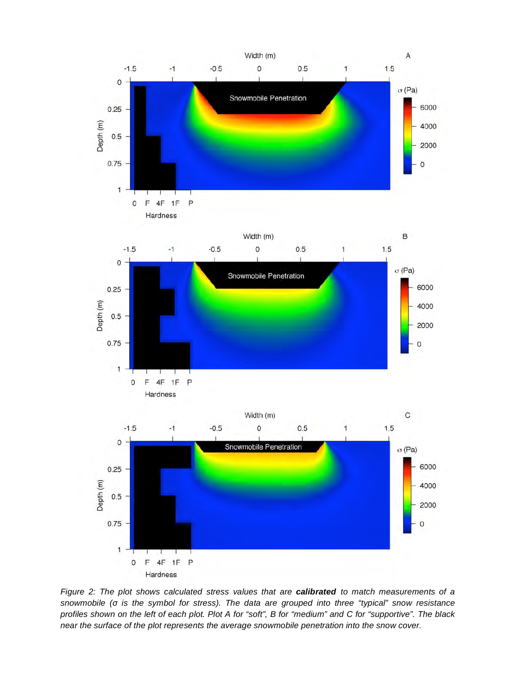

*Figure 2: The plot shows calculated stress values that are calibrated to match measurements of a snowmobile (σ is the symbol for stress). The data are grouped into three "typical" snow resistance profiles shown on the left of each plot. Plot A for "soft", B for "medium" and C for "supportive". The black near the surface of the plot represents the average snowmobile penetration into the snow cover.*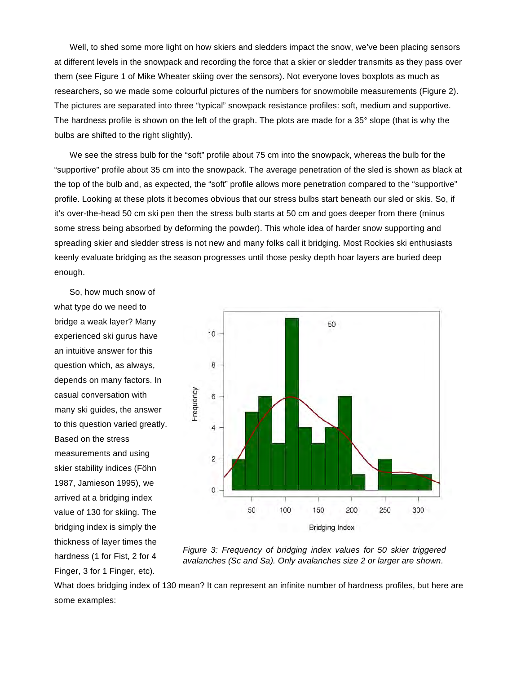Well, to shed some more light on how skiers and sledders impact the snow, we've been placing sensors at different levels in the snowpack and recording the force that a skier or sledder transmits as they pass over them (see Figure 1 of Mike Wheater skiing over the sensors). Not everyone loves boxplots as much as researchers, so we made some colourful pictures of the numbers for snowmobile measurements (Figure 2). The pictures are separated into three "typical" snowpack resistance profiles: soft, medium and supportive. The hardness profile is shown on the left of the graph. The plots are made for a 35° slope (that is why the bulbs are shifted to the right slightly).

We see the stress bulb for the "soft" profile about 75 cm into the snowpack, whereas the bulb for the "supportive" profile about 35 cm into the snowpack. The average penetration of the sled is shown as black at the top of the bulb and, as expected, the "soft" profile allows more penetration compared to the "supportive" profile. Looking at these plots it becomes obvious that our stress bulbs start beneath our sled or skis. So, if it's over-the-head 50 cm ski pen then the stress bulb starts at 50 cm and goes deeper from there (minus some stress being absorbed by deforming the powder). This whole idea of harder snow supporting and spreading skier and sledder stress is not new and many folks call it bridging. Most Rockies ski enthusiasts keenly evaluate bridging as the season progresses until those pesky depth hoar layers are buried deep enough.

So, how much snow of what type do we need to bridge a weak layer? Many experienced ski gurus have an intuitive answer for this question which, as always, depends on many factors. In casual conversation with many ski guides, the answer to this question varied greatly. Based on the stress measurements and using skier stability indices (Föhn 1987, Jamieson 1995), we arrived at a bridging index value of 130 for skiing. The bridging index is simply the thickness of layer times the hardness (1 for Fist, 2 for 4 Finger, 3 for 1 Finger, etc).



*Figure 3: Frequency of bridging index values for 50 skier triggered avalanches (Sc and Sa). Only avalanches size 2 or larger are shown.*

What does bridging index of 130 mean? It can represent an infinite number of hardness profiles, but here are some examples: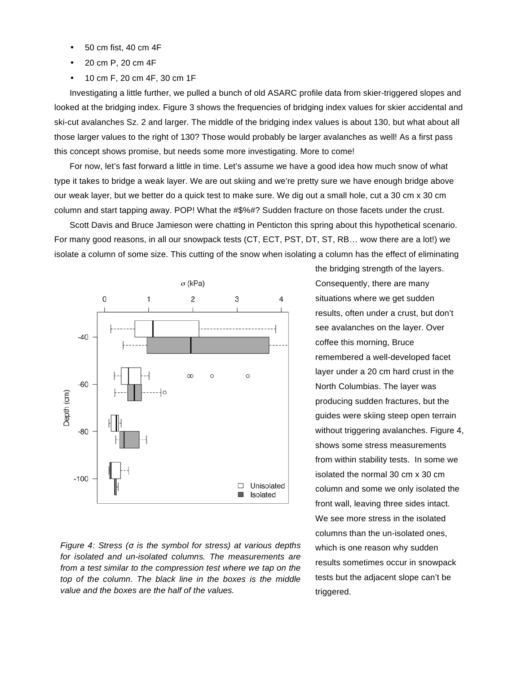- 50 cm fist, 40 cm 4F
- 20 cm P, 20 cm 4F
- 10 cm F, 20 cm 4F, 30 cm 1F

Investigating a little further, we pulled a bunch of old ASARC profile data from skier-triggered slopes and looked at the bridging index. Figure 3 shows the frequencies of bridging index values for skier accidental and ski-cut avalanches Sz. 2 and larger. The middle of the bridging index values is about 130, but what about all those larger values to the right of 130? Those would probably be larger avalanches as well! As a first pass this concept shows promise, but needs some more investigating. More to come!

For now, let's fast forward a little in time. Let's assume we have a good idea how much snow of what type it takes to bridge a weak layer. We are out skiing and we're pretty sure we have enough bridge above our weak layer, but we better do a quick test to make sure. We dig out a small hole, cut a 30 cm x 30 cm column and start tapping away. POP! What the #\$%#? Sudden fracture on those facets under the crust.

Scott Davis and Bruce Jamieson were chatting in Penticton this spring about this hypothetical scenario. For many good reasons, in all our snowpack tests (CT, ECT, PST, DT, ST, RB… wow there are a lot!) we isolate a column of some size. This cutting of the snow when isolating a column has the effect of eliminating



*Figure 4: Stress (σ is the symbol for stress) at various depths for isolated and un-isolated columns. The measurements are from a test similar to the compression test where we tap on the top of the column. The black line in the boxes is the middle value and the boxes are the half of the values.*

the bridging strength of the layers. Consequently, there are many situations where we get sudden results, often under a crust, but don't see avalanches on the layer. Over coffee this morning, Bruce remembered a well-developed facet layer under a 20 cm hard crust in the North Columbias. The layer was producing sudden fractures, but the guides were skiing steep open terrain without triggering avalanches. Figure 4, shows some stress measurements from within stability tests. In some we isolated the normal 30 cm x 30 cm column and some we only isolated the front wall, leaving three sides intact. We see more stress in the isolated columns than the un-isolated ones, which is one reason why sudden results sometimes occur in snowpack tests but the adjacent slope can't be triggered.